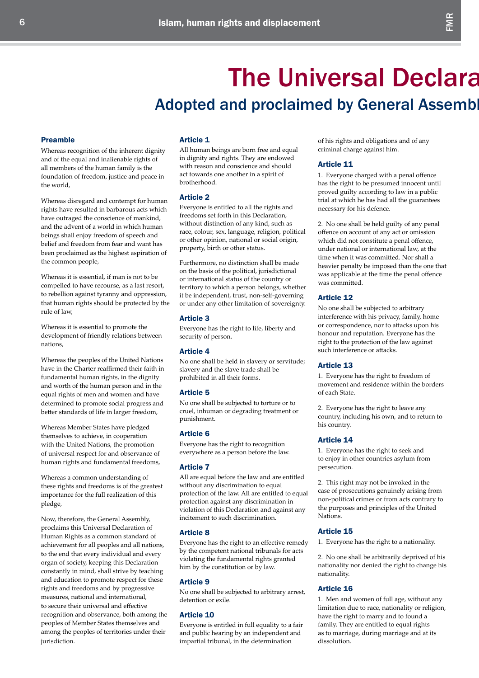# **The Universal Declaration** Adopted and proclaimed by General Assembl

# Preamble

Whereas recognition of the inherent dignity and of the equal and inalienable rights of all members of the human family is the foundation of freedom, justice and peace in the world,

Whereas disregard and contempt for human rights have resulted in barbarous acts which have outraged the conscience of mankind, and the advent of a world in which human beings shall enjoy freedom of speech and belief and freedom from fear and want has been proclaimed as the highest aspiration of the common people,

Whereas it is essential, if man is not to be compelled to have recourse, as a last resort, to rebellion against tyranny and oppression, that human rights should be protected by the rule of law,

Whereas it is essential to promote the development of friendly relations between nations,

Whereas the peoples of the United Nations have in the Charter reaffirmed their faith in fundamental human rights, in the dignity and worth of the human person and in the equal rights of men and women and have determined to promote social progress and better standards of life in larger freedom,

Whereas Member States have pledged themselves to achieve, in cooperation with the United Nations, the promotion of universal respect for and observance of human rights and fundamental freedoms,

Whereas a common understanding of these rights and freedoms is of the greatest importance for the full realization of this pledge,

Now, therefore, the General Assembly, proclaims this Universal Declaration of Human Rights as a common standard of achievement for all peoples and all nations, to the end that every individual and every organ of society, keeping this Declaration constantly in mind, shall strive by teaching and education to promote respect for these rights and freedoms and by progressive measures, national and international, to secure their universal and effective recognition and observance, both among the peoples of Member States themselves and among the peoples of territories under their jurisdiction.

### Article 1

All human beings are born free and equal in dignity and rights. They are endowed with reason and conscience and should act towards one another in a spirit of brotherhood.

# Article 2

Everyone is entitled to all the rights and freedoms set forth in this Declaration, without distinction of any kind, such as race, colour, sex, language, religion, political or other opinion, national or social origin, property, birth or other status.

Furthermore, no distinction shall be made on the basis of the political, jurisdictional or international status of the country or territory to which a person belongs, whether it be independent, trust, non-self-governing or under any other limitation of sovereignty.

### Article 3

Everyone has the right to life, liberty and security of person.

### Article 4

No one shall be held in slavery or servitude; slavery and the slave trade shall be prohibited in all their forms.

### Article 5

No one shall be subjected to torture or to cruel, inhuman or degrading treatment or punishment.

### Article 6

Everyone has the right to recognition everywhere as a person before the law.

### Article 7

All are equal before the law and are entitled without any discrimination to equal protection of the law. All are entitled to equal protection against any discrimination in violation of this Declaration and against any incitement to such discrimination.

### Article 8

Everyone has the right to an effective remedy by the competent national tribunals for acts violating the fundamental rights granted him by the constitution or by law.

### Article 9

No one shall be subjected to arbitrary arrest, detention or exile.

### Article 10

Everyone is entitled in full equality to a fair and public hearing by an independent and impartial tribunal, in the determination

of his rights and obligations and of any criminal charge against him.

### Article 11

1. Everyone charged with a penal offence has the right to be presumed innocent until proved guilty according to law in a public trial at which he has had all the guarantees necessary for his defence.

2. No one shall be held guilty of any penal offence on account of any act or omission which did not constitute a penal offence, under national or international law, at the time when it was committed. Nor shall a heavier penalty be imposed than the one that was applicable at the time the penal offence was committed.

### Article 12

No one shall be subjected to arbitrary interference with his privacy, family, home or correspondence, nor to attacks upon his honour and reputation. Everyone has the right to the protection of the law against such interference or attacks.

# Article 13

1. Everyone has the right to freedom of movement and residence within the borders of each State.

2. Everyone has the right to leave any country, including his own, and to return to his country.

#### Article 14

1. Everyone has the right to seek and to enjoy in other countries asylum from persecution.

2. This right may not be invoked in the case of prosecutions genuinely arising from non-political crimes or from acts contrary to the purposes and principles of the United Nations.

# Article 15

1. Everyone has the right to a nationality.

2. No one shall be arbitrarily deprived of his nationality nor denied the right to change his nationality.

### Article 16

1. Men and women of full age, without any limitation due to race, nationality or religion, have the right to marry and to found a family. They are entitled to equal rights as to marriage, during marriage and at its dissolution.